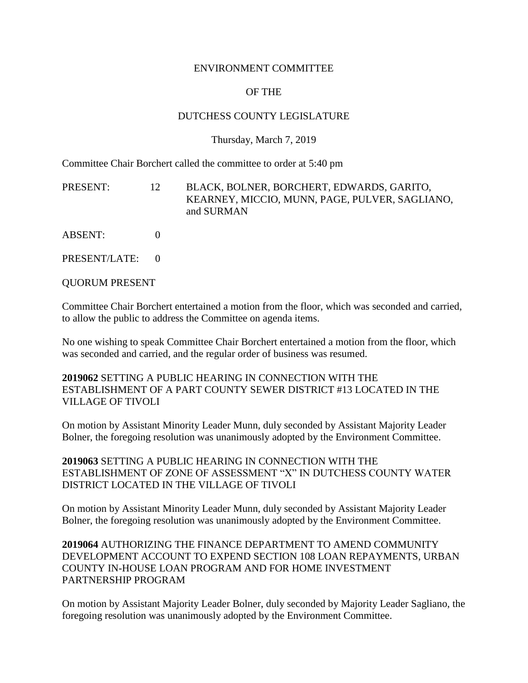#### ENVIRONMENT COMMITTEE

# OF THE

## DUTCHESS COUNTY LEGISLATURE

#### Thursday, March 7, 2019

Committee Chair Borchert called the committee to order at 5:40 pm

PRESENT: 12 BLACK, BOLNER, BORCHERT, EDWARDS, GARITO, KEARNEY, MICCIO, MUNN, PAGE, PULVER, SAGLIANO, and SURMAN

ABSENT: 0

PRESENT/LATE: 0

QUORUM PRESENT

Committee Chair Borchert entertained a motion from the floor, which was seconded and carried, to allow the public to address the Committee on agenda items.

No one wishing to speak Committee Chair Borchert entertained a motion from the floor, which was seconded and carried, and the regular order of business was resumed.

**2019062** SETTING A PUBLIC HEARING IN CONNECTION WITH THE ESTABLISHMENT OF A PART COUNTY SEWER DISTRICT #13 LOCATED IN THE VILLAGE OF TIVOLI

On motion by Assistant Minority Leader Munn, duly seconded by Assistant Majority Leader Bolner, the foregoing resolution was unanimously adopted by the Environment Committee.

**2019063** SETTING A PUBLIC HEARING IN CONNECTION WITH THE ESTABLISHMENT OF ZONE OF ASSESSMENT "X" IN DUTCHESS COUNTY WATER DISTRICT LOCATED IN THE VILLAGE OF TIVOLI

On motion by Assistant Minority Leader Munn, duly seconded by Assistant Majority Leader Bolner, the foregoing resolution was unanimously adopted by the Environment Committee.

**2019064** AUTHORIZING THE FINANCE DEPARTMENT TO AMEND COMMUNITY DEVELOPMENT ACCOUNT TO EXPEND SECTION 108 LOAN REPAYMENTS, URBAN COUNTY IN-HOUSE LOAN PROGRAM AND FOR HOME INVESTMENT PARTNERSHIP PROGRAM

On motion by Assistant Majority Leader Bolner, duly seconded by Majority Leader Sagliano, the foregoing resolution was unanimously adopted by the Environment Committee.